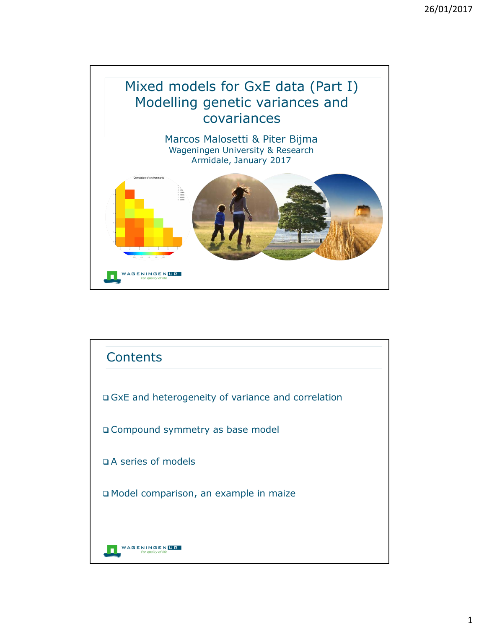## Mixed models for GxE data (Part I) Modelling genetic variances and covariances

Marcos Malosetti & Piter Bijma Wageningen University & Research Armidale, January 2017



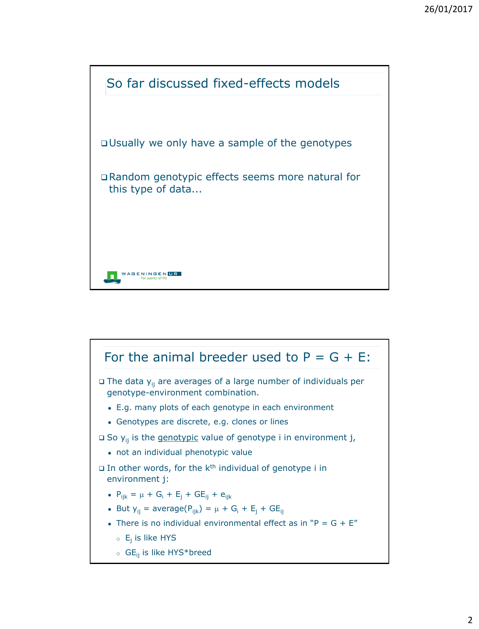

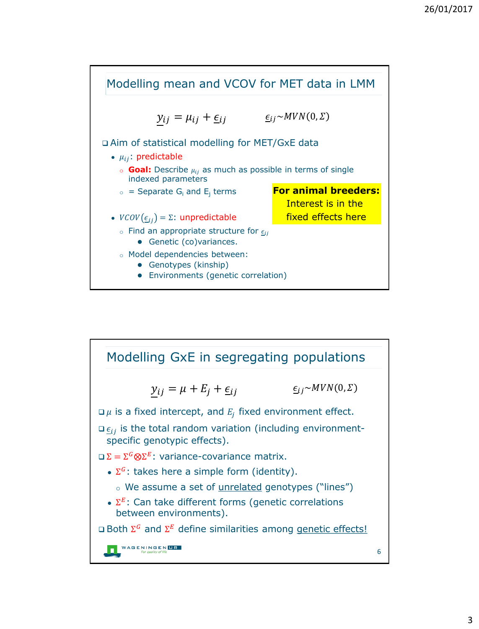

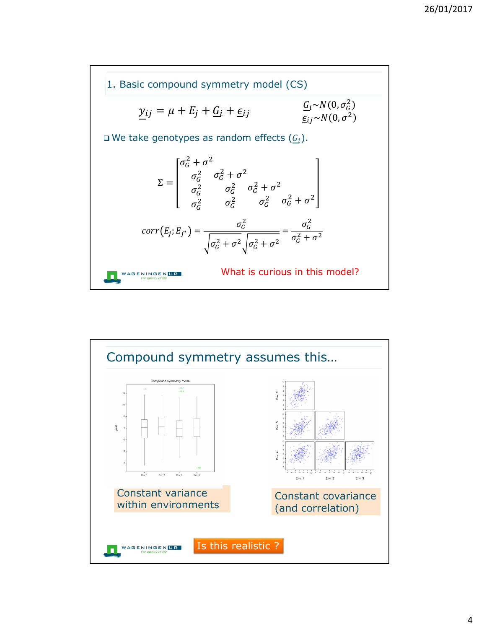

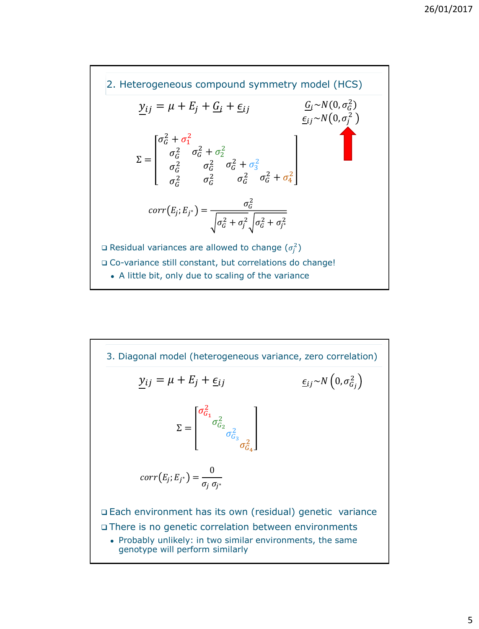

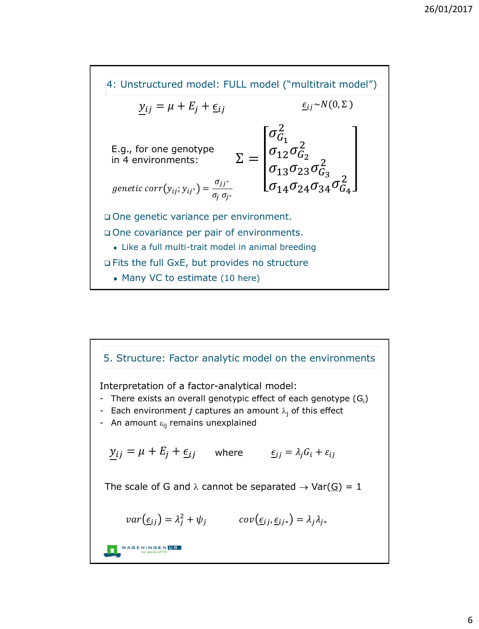

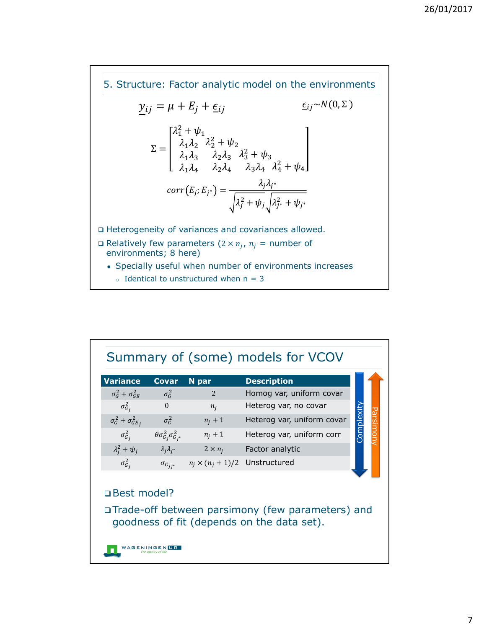Heterogeneity of variances and covariances allowed.  $\square$  Relatively few parameters  $(2 \times n_j, n_j =$  number of environments; 8 here) • Specially useful when number of environments increases  $\circ$  Identical to unstructured when  $n = 3$ 5. Structure: Factor analytic model on the environments  $y_{ij} = \mu + E_j + \underline{\epsilon}_{ij}$  $\Sigma =$  $\lambda_1^2 + \psi_1$  $\lambda_1\lambda_2$  $\lambda_1\lambda_3$  $\lambda_1\lambda_4$  $\lambda_2^2 + \psi_2$  $\lambda_2\lambda_3$  $\lambda_2\lambda_4$  $\lambda_3^2 + \psi_3$  $\lambda_3 \lambda_4$   $\lambda_4^2 + \psi_4$  $corr(E_j; E_{j^*}) = \frac{\lambda_j \lambda_{j^*}}{\sqrt{\lambda_j}}$  $\lambda_j^2 + \psi_j \left[ \lambda_{j^*}^2 + \psi_{j^*} \right]$  $\underline{\epsilon}_{ij} \sim N(0, \Sigma)$ 

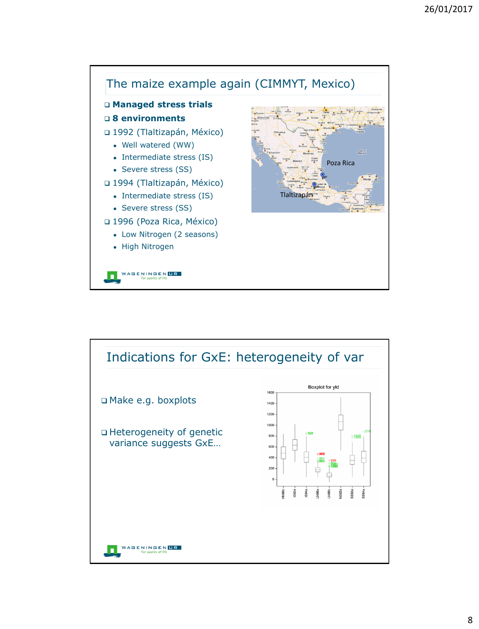

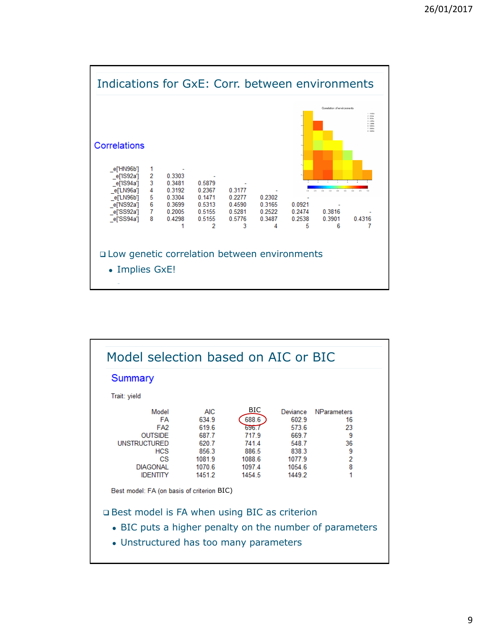

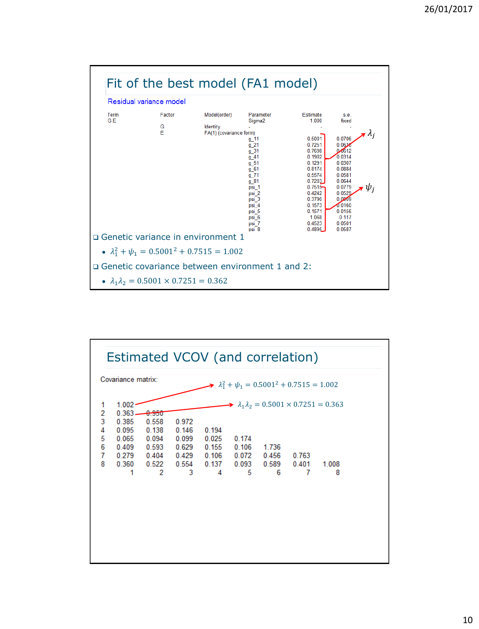